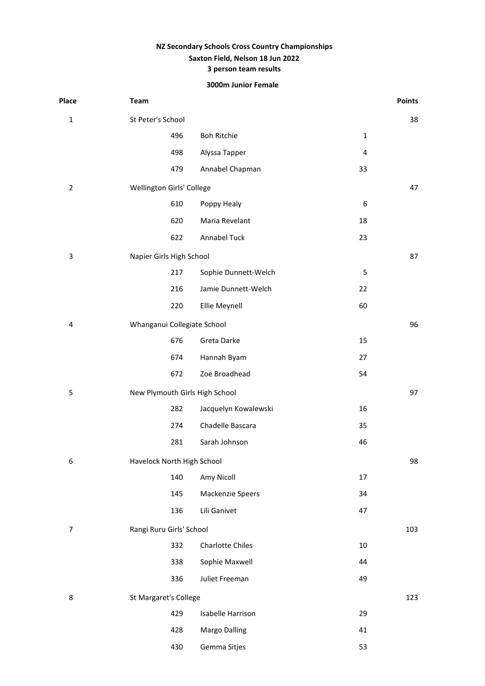# **NZ Secondary Schools Cross Country Championships Saxton Field, Nelson 18 Jun 2022 3 person team results**

# **3000m Junior Female**

| Place          | Team                           |                         |                  | <b>Points</b> |
|----------------|--------------------------------|-------------------------|------------------|---------------|
| $\mathbf 1$    | St Peter's School              |                         |                  | 38            |
|                | 496                            | <b>Boh Ritchie</b>      | $\mathbf 1$      |               |
|                | 498                            | Alyssa Tapper           | 4                |               |
|                | 479                            | Annabel Chapman         | 33               |               |
| $\overline{2}$ | Wellington Girls' College      |                         |                  | 47            |
|                | 610                            | Poppy Healy             | $\boldsymbol{6}$ |               |
|                | 620                            | Maria Revelant          | 18               |               |
|                | 622                            | Annabel Tuck            | 23               |               |
| 3              | Napier Girls High School       |                         |                  | 87            |
|                | 217                            | Sophie Dunnett-Welch    | 5                |               |
|                | 216                            | Jamie Dunnett-Welch     | 22               |               |
|                | 220                            | Ellie Meynell           | 60               |               |
| 4              | Whanganui Collegiate School    |                         |                  | 96            |
|                | 676                            | Greta Darke             | 15               |               |
|                | 674                            | Hannah Byam             | 27               |               |
|                | 672                            | Zoe Broadhead           | 54               |               |
| 5              | New Plymouth Girls High School |                         |                  | 97            |
|                | 282                            | Jacquelyn Kowalewski    | 16               |               |
|                | 274                            | Chadelle Bascara        | 35               |               |
|                | 281                            | Sarah Johnson           | 46               |               |
| 6              | Havelock North High School     |                         |                  | 98            |
|                | 140                            | Amy Nicoll              | 17               |               |
|                | 145                            | Mackenzie Speers        | 34               |               |
|                | 136                            | Lili Ganivet            | 47               |               |
| $\overline{7}$ | Rangi Ruru Girls' School       |                         |                  | 103           |
|                | 332                            | <b>Charlotte Chiles</b> | $10\,$           |               |
|                | 338                            | Sophie Maxwell          | 44               |               |
|                | 336                            | Juliet Freeman          | 49               |               |
| 8              | St Margaret's College          |                         |                  | 123           |
|                | 429                            | Isabelle Harrison       | 29               |               |
|                | 428                            | Margo Dalling           | 41               |               |
|                | 430                            | Gemma Sitjes            | 53               |               |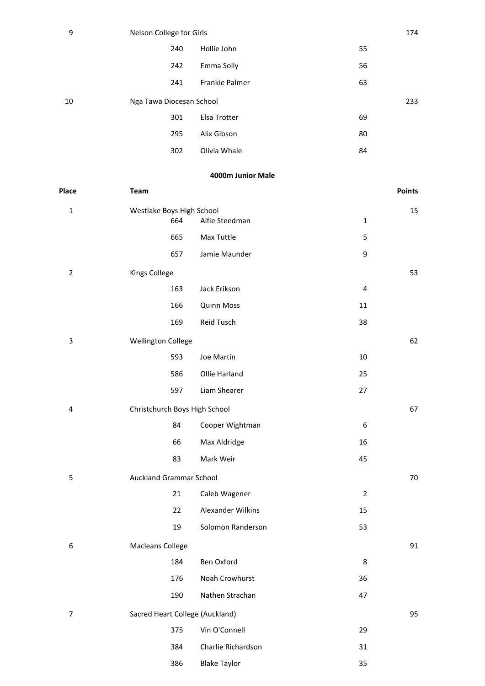| 9  | Nelson College for Girls |                |    | 174 |
|----|--------------------------|----------------|----|-----|
|    | 240                      | Hollie John    | 55 |     |
|    | 242                      | Emma Solly     | 56 |     |
|    | 241                      | Frankie Palmer | 63 |     |
| 10 | Nga Tawa Diocesan School |                |    | 233 |
|    | 301                      | Elsa Trotter   | 69 |     |
|    | 295                      | Alix Gibson    | 80 |     |
|    | 302                      | Olivia Whale   | 84 |     |

### **4000m Junior Male**

|                         |                                                                        |                                                                                                                                                                                                                                                                  | <b>Points</b>                           |
|-------------------------|------------------------------------------------------------------------|------------------------------------------------------------------------------------------------------------------------------------------------------------------------------------------------------------------------------------------------------------------|-----------------------------------------|
|                         |                                                                        |                                                                                                                                                                                                                                                                  | 15                                      |
|                         |                                                                        |                                                                                                                                                                                                                                                                  |                                         |
|                         |                                                                        |                                                                                                                                                                                                                                                                  |                                         |
|                         |                                                                        |                                                                                                                                                                                                                                                                  |                                         |
|                         |                                                                        |                                                                                                                                                                                                                                                                  | 53                                      |
|                         |                                                                        |                                                                                                                                                                                                                                                                  |                                         |
|                         |                                                                        |                                                                                                                                                                                                                                                                  |                                         |
|                         |                                                                        |                                                                                                                                                                                                                                                                  |                                         |
|                         |                                                                        |                                                                                                                                                                                                                                                                  | 62                                      |
| 593                     | Joe Martin                                                             | 10                                                                                                                                                                                                                                                               |                                         |
| 586                     | Ollie Harland                                                          | 25                                                                                                                                                                                                                                                               |                                         |
| 597                     | Liam Shearer                                                           | 27                                                                                                                                                                                                                                                               |                                         |
|                         |                                                                        |                                                                                                                                                                                                                                                                  | 67                                      |
| 84                      | Cooper Wightman                                                        | 6                                                                                                                                                                                                                                                                |                                         |
| 66                      | Max Aldridge                                                           | 16                                                                                                                                                                                                                                                               |                                         |
| 83                      | Mark Weir                                                              | 45                                                                                                                                                                                                                                                               |                                         |
|                         |                                                                        |                                                                                                                                                                                                                                                                  | 70                                      |
| 21                      | Caleb Wagener                                                          | $\overline{2}$                                                                                                                                                                                                                                                   |                                         |
| 22                      | Alexander Wilkins                                                      | 15                                                                                                                                                                                                                                                               |                                         |
| 19                      | Solomon Randerson                                                      | 53                                                                                                                                                                                                                                                               |                                         |
| <b>Macleans College</b> |                                                                        |                                                                                                                                                                                                                                                                  | 91                                      |
| 184                     | Ben Oxford                                                             | 8                                                                                                                                                                                                                                                                |                                         |
| 176                     | Noah Crowhurst                                                         | 36                                                                                                                                                                                                                                                               |                                         |
| 190                     | Nathen Strachan                                                        | 47                                                                                                                                                                                                                                                               |                                         |
|                         |                                                                        |                                                                                                                                                                                                                                                                  | 95                                      |
| 375                     | Vin O'Connell                                                          | 29                                                                                                                                                                                                                                                               |                                         |
| 384                     | Charlie Richardson                                                     | 31                                                                                                                                                                                                                                                               |                                         |
| 386                     | <b>Blake Taylor</b>                                                    | 35                                                                                                                                                                                                                                                               |                                         |
|                         | Team<br>664<br>665<br>657<br><b>Kings College</b><br>163<br>166<br>169 | Westlake Boys High School<br>Alfie Steedman<br>Max Tuttle<br>Jamie Maunder<br>Jack Erikson<br><b>Quinn Moss</b><br>Reid Tusch<br><b>Wellington College</b><br>Christchurch Boys High School<br><b>Auckland Grammar School</b><br>Sacred Heart College (Auckland) | $\mathbf{1}$<br>5<br>9<br>4<br>11<br>38 |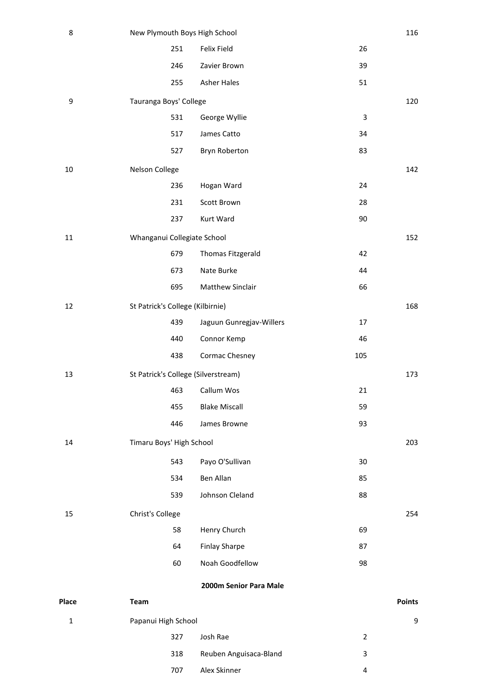| 8           | New Plymouth Boys High School       |                          |                | 116           |
|-------------|-------------------------------------|--------------------------|----------------|---------------|
|             | 251                                 | Felix Field              | 26             |               |
|             | 246                                 | Zavier Brown             | 39             |               |
|             | 255                                 | <b>Asher Hales</b>       | 51             |               |
| 9           | Tauranga Boys' College              |                          |                | 120           |
|             | 531                                 | George Wyllie            | 3              |               |
|             | 517                                 | James Catto              | 34             |               |
|             | 527                                 | Bryn Roberton            | 83             |               |
| 10          | Nelson College                      |                          |                | 142           |
|             | 236                                 | Hogan Ward               | 24             |               |
|             | 231                                 | Scott Brown              | 28             |               |
|             | 237                                 | Kurt Ward                | 90             |               |
| $11\,$      | Whanganui Collegiate School         |                          |                | 152           |
|             | 679                                 | Thomas Fitzgerald        | 42             |               |
|             | 673                                 | Nate Burke               | 44             |               |
|             | 695                                 | Matthew Sinclair         | 66             |               |
| 12          | St Patrick's College (Kilbirnie)    |                          |                | 168           |
|             | 439                                 | Jaguun Gunregjav-Willers | 17             |               |
|             | 440                                 | Connor Kemp              | 46             |               |
|             | 438                                 | Cormac Chesney           | 105            |               |
| 13          | St Patrick's College (Silverstream) |                          |                | 173           |
|             | 463                                 | Callum Wos               | 21             |               |
|             | 455                                 | <b>Blake Miscall</b>     | 59             |               |
|             | 446                                 | James Browne             | 93             |               |
| 14          | Timaru Boys' High School            |                          |                | 203           |
|             | 543                                 | Payo O'Sullivan          | 30             |               |
|             | 534                                 | Ben Allan                | 85             |               |
|             | 539                                 | Johnson Cleland          | 88             |               |
| 15          | Christ's College                    |                          |                | 254           |
|             | 58                                  | Henry Church             | 69             |               |
|             | 64                                  | <b>Finlay Sharpe</b>     | 87             |               |
|             | 60                                  | Noah Goodfellow          | 98             |               |
|             |                                     | 2000m Senior Para Male   |                |               |
| Place       | Team                                |                          |                | <b>Points</b> |
| $\mathbf 1$ | Papanui High School                 |                          |                | 9             |
|             | 327                                 | Josh Rae                 | $\overline{2}$ |               |
|             | 318                                 | Reuben Anguisaca-Bland   | 3              |               |
|             | 707                                 | Alex Skinner             | 4              |               |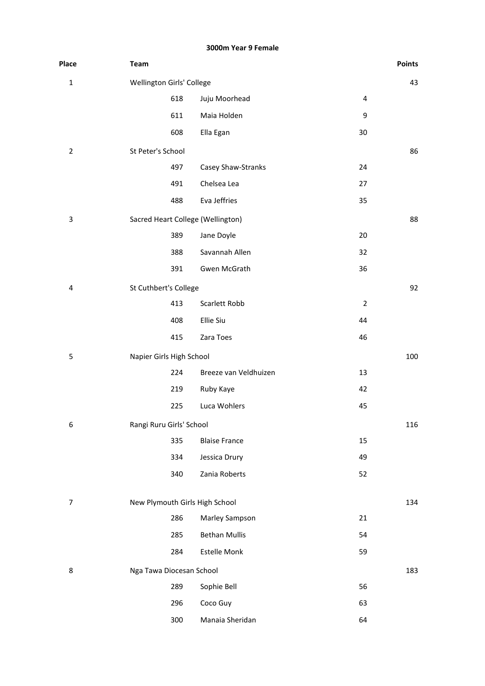#### **3000m Year 9 Female**

| Place          | <b>Team</b>                       |                       |                | <b>Points</b> |
|----------------|-----------------------------------|-----------------------|----------------|---------------|
| $\mathbf 1$    | Wellington Girls' College         |                       |                | 43            |
|                | 618                               | Juju Moorhead         | 4              |               |
|                | 611                               | Maia Holden           | 9              |               |
|                | 608                               | Ella Egan             | 30             |               |
| $\overline{2}$ | St Peter's School                 |                       |                | 86            |
|                | 497                               | Casey Shaw-Stranks    | 24             |               |
|                | 491                               | Chelsea Lea           | 27             |               |
|                | 488                               | Eva Jeffries          | 35             |               |
| 3              | Sacred Heart College (Wellington) |                       |                | 88            |
|                | 389                               | Jane Doyle            | 20             |               |
|                | 388                               | Savannah Allen        | 32             |               |
|                | 391                               | Gwen McGrath          | 36             |               |
| 4              | St Cuthbert's College             |                       |                | 92            |
|                | 413                               | Scarlett Robb         | $\overline{2}$ |               |
|                | 408                               | Ellie Siu             | 44             |               |
|                | 415                               | Zara Toes             | 46             |               |
| 5              | Napier Girls High School          |                       |                | 100           |
|                | 224                               | Breeze van Veldhuizen | 13             |               |
|                | 219                               | Ruby Kaye             | 42             |               |
|                | 225                               | Luca Wohlers          | 45             |               |
| 6              | Rangi Ruru Girls' School          |                       |                | 116           |
|                | 335                               | <b>Blaise France</b>  | 15             |               |
|                | 334                               | Jessica Drury         | 49             |               |
|                | 340                               | Zania Roberts         | 52             |               |
|                |                                   |                       |                |               |
| 7              | New Plymouth Girls High School    |                       |                | 134           |
|                | 286                               | Marley Sampson        | 21             |               |
|                | 285                               | <b>Bethan Mullis</b>  | 54             |               |
|                | 284                               | <b>Estelle Monk</b>   | 59             |               |
| 8              | Nga Tawa Diocesan School          |                       |                | 183           |
|                | 289                               | Sophie Bell           | 56             |               |
|                | 296                               | Coco Guy              | 63             |               |
|                | 300                               | Manaia Sheridan       | 64             |               |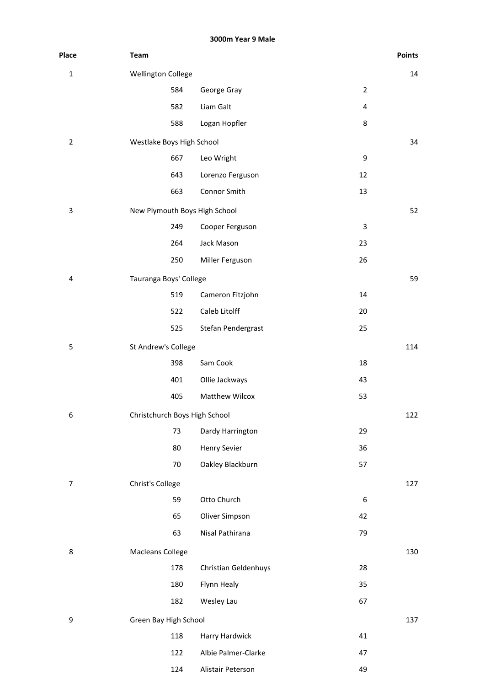**3000m Year 9 Male**

| Place          | Team                          |                       |                  | <b>Points</b> |
|----------------|-------------------------------|-----------------------|------------------|---------------|
| $\mathbf 1$    | <b>Wellington College</b>     |                       |                  | 14            |
|                | 584                           | George Gray           | $\overline{2}$   |               |
|                | 582                           | Liam Galt             | 4                |               |
|                | 588                           | Logan Hopfler         | 8                |               |
| $\overline{2}$ | Westlake Boys High School     |                       |                  | 34            |
|                | 667                           | Leo Wright            | 9                |               |
|                | 643                           | Lorenzo Ferguson      | 12               |               |
|                | 663                           | Connor Smith          | 13               |               |
| 3              | New Plymouth Boys High School |                       |                  | 52            |
|                | 249                           | Cooper Ferguson       | 3                |               |
|                | 264                           | Jack Mason            | 23               |               |
|                | 250                           | Miller Ferguson       | 26               |               |
| 4              | Tauranga Boys' College        |                       |                  | 59            |
|                | 519                           | Cameron Fitzjohn      | 14               |               |
|                | 522                           | Caleb Litolff         | 20               |               |
|                | 525                           | Stefan Pendergrast    | 25               |               |
| 5              | St Andrew's College           |                       |                  | 114           |
|                | 398                           | Sam Cook              | 18               |               |
|                | 401                           | Ollie Jackways        | 43               |               |
|                | 405                           | <b>Matthew Wilcox</b> | 53               |               |
| 6              | Christchurch Boys High School |                       |                  | 122           |
|                | 73                            | Dardy Harrington      | 29               |               |
|                | 80                            | <b>Henry Sevier</b>   | 36               |               |
|                | 70                            | Oakley Blackburn      | 57               |               |
| $\overline{7}$ | Christ's College              |                       |                  | 127           |
|                | 59                            | Otto Church           | $\boldsymbol{6}$ |               |
|                | 65                            | Oliver Simpson        | 42               |               |
|                | 63                            | Nisal Pathirana       | 79               |               |
| 8              | Macleans College              |                       |                  | 130           |
|                | 178                           | Christian Geldenhuys  | 28               |               |
|                | 180                           | Flynn Healy           | 35               |               |
|                | 182                           | Wesley Lau            | 67               |               |
| 9              | Green Bay High School         |                       |                  | 137           |
|                | 118                           | Harry Hardwick        | 41               |               |
|                | 122                           | Albie Palmer-Clarke   | 47               |               |
|                | 124                           | Alistair Peterson     | 49               |               |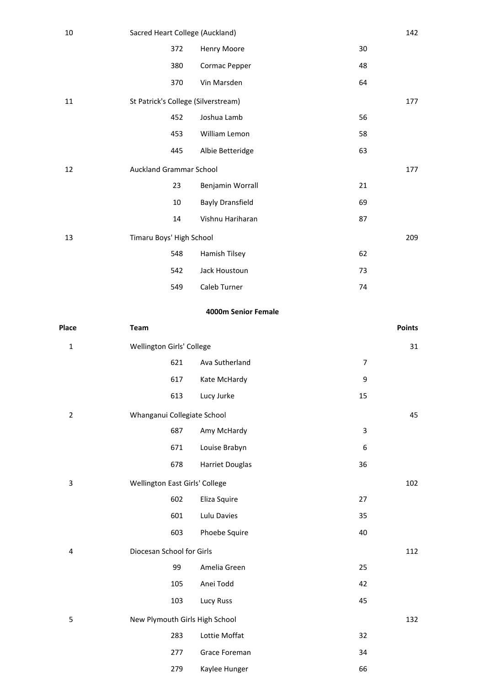| 10 | Sacred Heart College (Auckland)     |                         |    | 142 |
|----|-------------------------------------|-------------------------|----|-----|
|    | 372                                 | Henry Moore             | 30 |     |
|    | 380                                 | Cormac Pepper           | 48 |     |
|    | 370                                 | Vin Marsden             | 64 |     |
| 11 | St Patrick's College (Silverstream) |                         |    | 177 |
|    | 452                                 | Joshua Lamb             | 56 |     |
|    | 453                                 | William Lemon           | 58 |     |
|    | 445                                 | Albie Betteridge        | 63 |     |
| 12 | Auckland Grammar School             |                         |    | 177 |
|    | 23                                  | Benjamin Worrall        | 21 |     |
|    | 10                                  | <b>Bayly Dransfield</b> | 69 |     |
|    | 14                                  | Vishnu Hariharan        | 87 |     |
| 13 | Timaru Boys' High School            |                         |    | 209 |
|    | 548                                 | Hamish Tilsey           | 62 |     |
|    | 542                                 | Jack Houstoun           | 73 |     |
|    | 549                                 | Caleb Turner            | 74 |     |

# **4000m Senior Female**

| Place                   | Team                           |                        |                | <b>Points</b> |
|-------------------------|--------------------------------|------------------------|----------------|---------------|
| $\mathbf{1}$            | Wellington Girls' College      |                        |                | 31            |
|                         | 621                            | Ava Sutherland         | $\overline{7}$ |               |
|                         | 617                            | Kate McHardy           | 9              |               |
|                         | 613                            | Lucy Jurke             | 15             |               |
| $\overline{2}$          | Whanganui Collegiate School    |                        |                | 45            |
|                         | 687                            | Amy McHardy            | 3              |               |
|                         | 671                            | Louise Brabyn          | 6              |               |
|                         | 678                            | <b>Harriet Douglas</b> | 36             |               |
| $\mathsf 3$             | Wellington East Girls' College |                        |                | 102           |
|                         | 602                            | Eliza Squire           | 27             |               |
|                         | 601                            | Lulu Davies            | 35             |               |
|                         | 603                            | Phoebe Squire          | 40             |               |
| $\overline{\mathbf{4}}$ | Diocesan School for Girls      |                        |                | 112           |
|                         | 99                             | Amelia Green           | 25             |               |
|                         | 105                            | Anei Todd              | 42             |               |
|                         | 103                            | Lucy Russ              | 45             |               |
| 5                       | New Plymouth Girls High School |                        |                | 132           |
|                         | 283                            | Lottie Moffat          | 32             |               |
|                         | 277                            | Grace Foreman          | 34             |               |
|                         | 279                            | Kaylee Hunger          | 66             |               |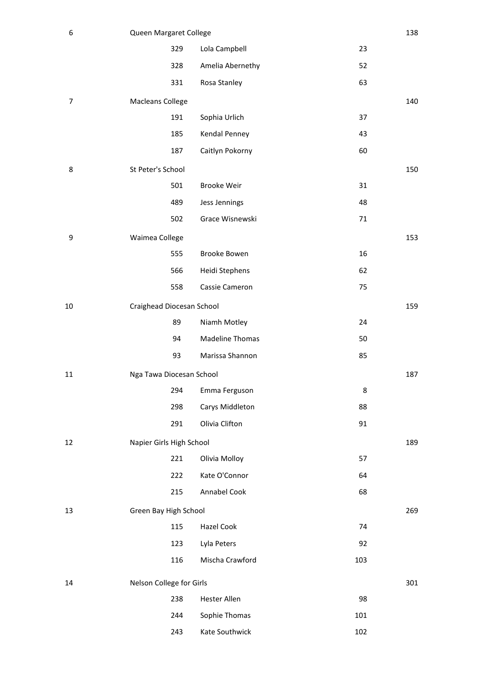| 6              | Queen Margaret College    |                        |     | 138 |
|----------------|---------------------------|------------------------|-----|-----|
|                | 329                       | Lola Campbell          | 23  |     |
|                | 328                       | Amelia Abernethy       | 52  |     |
|                | 331                       | Rosa Stanley           | 63  |     |
| $\overline{7}$ | <b>Macleans College</b>   |                        |     | 140 |
|                | 191                       | Sophia Urlich          | 37  |     |
|                | 185                       | Kendal Penney          | 43  |     |
|                | 187                       | Caitlyn Pokorny        | 60  |     |
| 8              | St Peter's School         |                        |     | 150 |
|                | 501                       | <b>Brooke Weir</b>     | 31  |     |
|                | 489                       | Jess Jennings          | 48  |     |
|                | 502                       | Grace Wisnewski        | 71  |     |
| 9              | Waimea College            |                        |     | 153 |
|                | 555                       | Brooke Bowen           | 16  |     |
|                | 566                       | Heidi Stephens         | 62  |     |
|                | 558                       | Cassie Cameron         | 75  |     |
| 10             | Craighead Diocesan School |                        |     | 159 |
|                | 89                        | Niamh Motley           | 24  |     |
|                | 94                        | <b>Madeline Thomas</b> | 50  |     |
|                | 93                        | Marissa Shannon        | 85  |     |
| 11             | Nga Tawa Diocesan School  |                        |     | 187 |
|                | 294                       | Emma Ferguson          | 8   |     |
|                | 298                       | Carys Middleton        | 88  |     |
|                | 291                       | Olivia Clifton         | 91  |     |
| 12             | Napier Girls High School  |                        |     | 189 |
|                | 221                       | Olivia Molloy          | 57  |     |
|                | 222                       | Kate O'Connor          | 64  |     |
|                | 215                       | Annabel Cook           | 68  |     |
| 13             | Green Bay High School     |                        |     | 269 |
|                | 115                       | Hazel Cook             | 74  |     |
|                | 123                       | Lyla Peters            | 92  |     |
|                | 116                       | Mischa Crawford        | 103 |     |
| 14             | Nelson College for Girls  |                        |     | 301 |
|                | 238                       | <b>Hester Allen</b>    | 98  |     |
|                | 244                       | Sophie Thomas          | 101 |     |
|                | 243                       | Kate Southwick         | 102 |     |
|                |                           |                        |     |     |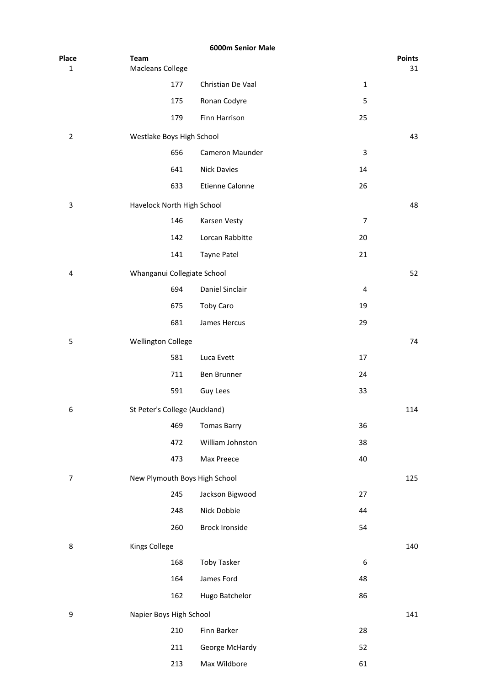|                       |                                        | 6000m Senior Male      |                  |                     |
|-----------------------|----------------------------------------|------------------------|------------------|---------------------|
| Place<br>$\mathbf{1}$ | <b>Team</b><br><b>Macleans College</b> |                        |                  | <b>Points</b><br>31 |
|                       | 177                                    | Christian De Vaal      | $\mathbf 1$      |                     |
|                       | 175                                    | Ronan Codyre           | 5                |                     |
|                       | 179                                    | Finn Harrison          | 25               |                     |
| $\overline{2}$        | Westlake Boys High School              |                        |                  | 43                  |
|                       | 656                                    | Cameron Maunder        | 3                |                     |
|                       | 641                                    | <b>Nick Davies</b>     | 14               |                     |
|                       | 633                                    | <b>Etienne Calonne</b> | 26               |                     |
| 3                     | Havelock North High School             |                        |                  | 48                  |
|                       | 146                                    | Karsen Vesty           | $\overline{7}$   |                     |
|                       | 142                                    | Lorcan Rabbitte        | 20               |                     |
|                       | 141                                    | Tayne Patel            | 21               |                     |
| 4                     | Whanganui Collegiate School            |                        |                  | 52                  |
|                       | 694                                    | Daniel Sinclair        | 4                |                     |
|                       | 675                                    | Toby Caro              | 19               |                     |
|                       | 681                                    | James Hercus           | 29               |                     |
| 5                     |                                        |                        |                  | 74                  |
|                       | <b>Wellington College</b><br>581       | Luca Evett             | 17               |                     |
|                       | 711                                    | Ben Brunner            | 24               |                     |
|                       | 591                                    | Guy Lees               | 33               |                     |
|                       |                                        |                        |                  |                     |
| 6                     | St Peter's College (Auckland)<br>469   | <b>Tomas Barry</b>     | 36               | 114                 |
|                       | 472                                    | William Johnston       | 38               |                     |
|                       | 473                                    | Max Preece             | 40               |                     |
|                       |                                        |                        |                  |                     |
| $\boldsymbol{7}$      | New Plymouth Boys High School          |                        |                  | 125                 |
|                       | 245                                    | Jackson Bigwood        | 27               |                     |
|                       | 248                                    | Nick Dobbie            | 44               |                     |
|                       | 260                                    | <b>Brock Ironside</b>  | 54               |                     |
| 8                     | Kings College                          |                        |                  | 140                 |
|                       | 168                                    | <b>Toby Tasker</b>     | $\boldsymbol{6}$ |                     |
|                       | 164                                    | James Ford             | 48               |                     |
|                       | 162                                    | Hugo Batchelor         | 86               |                     |
| 9                     | Napier Boys High School                |                        |                  | 141                 |
|                       | 210                                    | Finn Barker            | 28               |                     |
|                       | 211                                    | George McHardy         | 52               |                     |
|                       | 213                                    | Max Wildbore           | 61               |                     |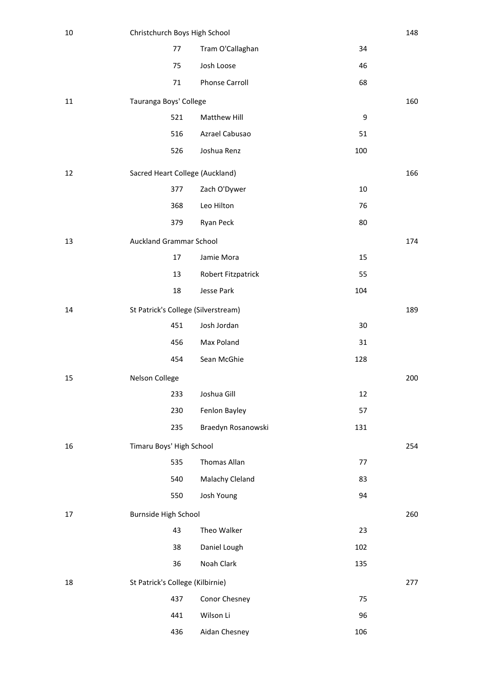| $10\,$ | Christchurch Boys High School       |                       |        | 148 |
|--------|-------------------------------------|-----------------------|--------|-----|
|        | 77                                  | Tram O'Callaghan      | 34     |     |
|        | 75                                  | Josh Loose            | 46     |     |
|        | 71                                  | <b>Phonse Carroll</b> | 68     |     |
| 11     | Tauranga Boys' College              |                       |        | 160 |
|        | 521                                 | Matthew Hill          | 9      |     |
|        | 516                                 | Azrael Cabusao        | 51     |     |
|        | 526                                 | Joshua Renz           | 100    |     |
| 12     | Sacred Heart College (Auckland)     |                       |        | 166 |
|        | 377                                 | Zach O'Dywer          | $10\,$ |     |
|        | 368                                 | Leo Hilton            | 76     |     |
|        | 379                                 | Ryan Peck             | 80     |     |
| 13     | <b>Auckland Grammar School</b>      |                       |        | 174 |
|        | 17                                  | Jamie Mora            | 15     |     |
|        | 13                                  | Robert Fitzpatrick    | 55     |     |
|        | 18                                  | Jesse Park            | 104    |     |
| 14     | St Patrick's College (Silverstream) |                       |        | 189 |
|        | 451                                 | Josh Jordan           | 30     |     |
|        | 456                                 | Max Poland            | 31     |     |
|        | 454                                 | Sean McGhie           | 128    |     |
| 15     | Nelson College                      |                       |        | 200 |
|        | 233                                 | Joshua Gill           | 12     |     |
|        | 230                                 | Fenlon Bayley         | 57     |     |
|        | 235                                 | Braedyn Rosanowski    | 131    |     |
| 16     | Timaru Boys' High School            |                       |        | 254 |
|        | 535                                 | Thomas Allan          | 77     |     |
|        | 540                                 | Malachy Cleland       | 83     |     |
|        | 550                                 | Josh Young            | 94     |     |
| 17     | Burnside High School                |                       |        | 260 |
|        | 43                                  | Theo Walker           | 23     |     |
|        | 38                                  | Daniel Lough          | 102    |     |
|        | 36                                  | Noah Clark            | 135    |     |
| 18     | St Patrick's College (Kilbirnie)    |                       |        | 277 |
|        | 437                                 | Conor Chesney         | 75     |     |
|        | 441                                 | Wilson Li             | 96     |     |
|        | 436                                 | Aidan Chesney         | 106    |     |